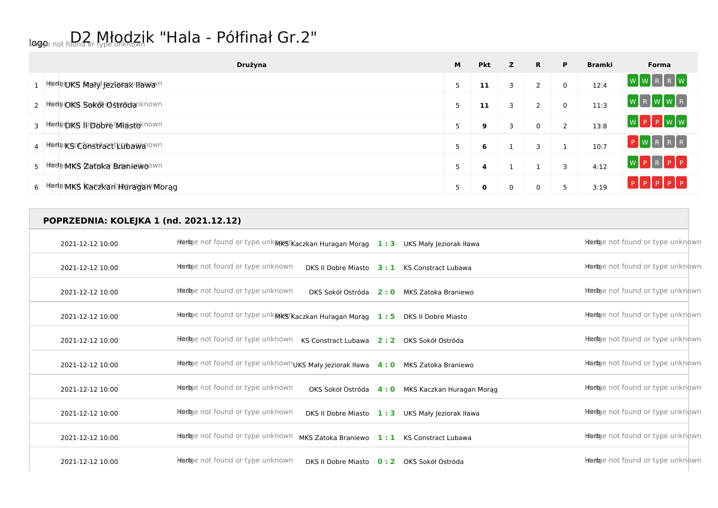## logo not found or type unknown k "Hala - Półfinał Gr.2"

| Drużyna                             | M              | <b>Pkt</b> | z | R.                   | P           | <b>Bramki</b> | Forma               |
|-------------------------------------|----------------|------------|---|----------------------|-------------|---------------|---------------------|
| 1 Hedgences Maryl Jezionak Havvarn  | $\blacksquare$ | 11         | 3 | 2                    | $\mathbf 0$ | 12:4          | WWRRNW              |
| 2 Heely OKS Sokol Ostrodanknown     | -              | 11         | 3 | $\overline{ }$<br>z. | $\mathbf 0$ | 11:3          | WRWWR               |
| 3 Heely DKS fp Dobe Miastoknown     | $\blacksquare$ | 9          | 3 | $\Omega$             | 2           | 13:8          | $W$ $P$ $P$ $W$ $W$ |
| 4 Hedge SoconstriacttLubawanown     | -              | 6          |   | 3                    |             | 10:7          | P[W[R[R R])         |
| 5 Hiedu MKS Zatoka Braniewoown      | 5              | 4          |   |                      | 3           | 4:12          | WPRPPP              |
| 6 Hedge MKS Kaldzkan Hieradan Worag |                | 0          | 0 |                      | 5           | 3:19          | $P$ $P$ $P$ $P$ $P$ |

## **POPRZEDNIA: KOLEJKA 1 (nd. 2021.12.12)**

| 2021-12-12 10:00 | hhedge not found or type unkmrkg Kaczkan Huragan Morąg        | 1:3 | UKS Mały Jeziorak Iława    | Heebye not found or type unknown |
|------------------|---------------------------------------------------------------|-----|----------------------------|----------------------------------|
| 2021-12-12 10:00 | Heege not found or type unknown<br>DKS II Dobre Miasto        | 3:1 | <b>KS Constract Lubawa</b> | Heebye not found or type unknown |
| 2021-12-12 10:00 | Heebye not found or type unknown<br>OKS Sokół Ostróda         | 2:0 | MKS Zatoka Braniewo        | Heebje not found or type unknown |
| 2021-12-12 10:00 | Heeloge not found or type unkMKSTKaczkan Huragan Morąg 1:5    |     | DKS II Dobre Miasto        | Hedge not found or type unknown  |
| 2021-12-12 10:00 | heege not found or type unknown<br><b>KS Constract Lubawa</b> | 2:2 | OKS Sokół Ostróda          | Heebye not found or type unknown |
| 2021-12-12 10:00 | Heelge not found or type unknownUKS Mały Jeziorak Iława       | 4:0 | MKS Zatoka Braniewo        | Heebye not found or type unknown |
| 2021-12-12 10:00 | Heege not found or type unknown<br>OKS Sokół Ostróda          | 4:0 | MKS Kaczkan Huragan Morag  | Heebye not found or type unknown |
| 2021-12-12 10:00 | Heebye not found or type unknown<br>DKS II Dobre Miasto       | 1:3 | UKS Mały Jeziorak Iława    | Hedge not found or type unknown  |
| 2021-12-12 10:00 | Heepe not found or type unknown<br>MKS Zatoka Braniewo        | 1:1 | <b>KS Constract Lubawa</b> | Heebje not found or type unknown |
| 2021-12-12 10:00 | Heelge not found or type unknown<br>DKS II Dobre Miasto       | 0:2 | OKS Sokół Ostróda          | Heebje not found or type unknown |